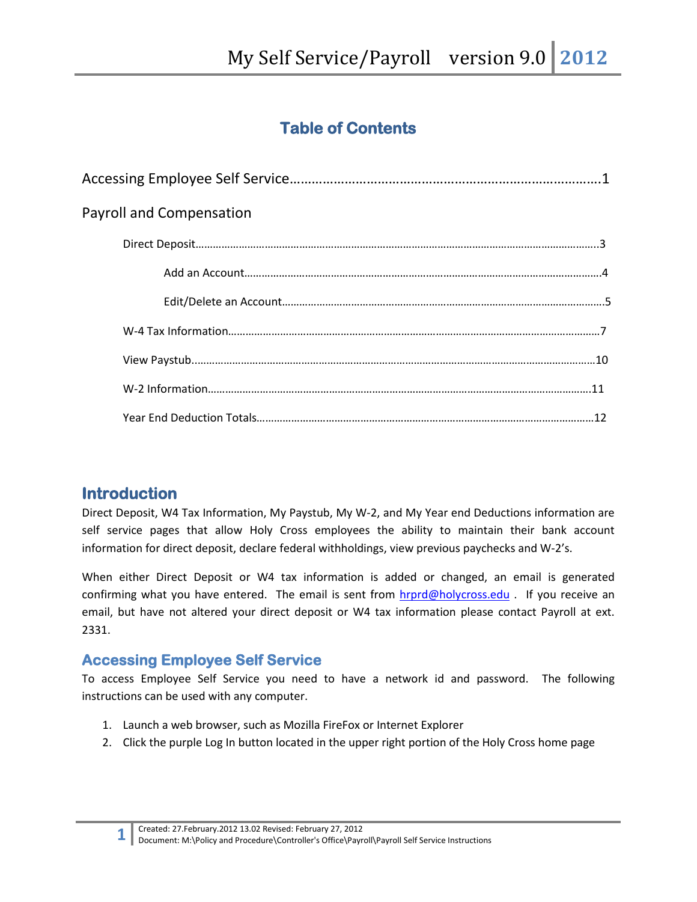# **Table of Contents**

| <b>Payroll and Compensation</b> |  |
|---------------------------------|--|
|                                 |  |
|                                 |  |
|                                 |  |
|                                 |  |
|                                 |  |
|                                 |  |
|                                 |  |

## **Introduction**

Direct Deposit, W4 Tax Information, My Paystub, My W-2, and My Year end Deductions information are self service pages that allow Holy Cross employees the ability to maintain their bank account information for direct deposit, declare federal withholdings, view previous paychecks and W-2's.

When either Direct Deposit or W4 tax information is added or changed, an email is generated confirming what you have entered. The email is sent from [hrprd@holycross.edu](mailto:hrprd@holycross.edu) . If you receive an email, but have not altered your direct deposit or W4 tax information please contact Payroll at ext. 2331.

### **Accessing Employee Self Service**

To access Employee Self Service you need to have a network id and password. The following instructions can be used with any computer.

- 1. Launch a web browser, such as Mozilla FireFox or Internet Explorer
- 2. Click the purple Log In button located in the upper right portion of the Holy Cross home page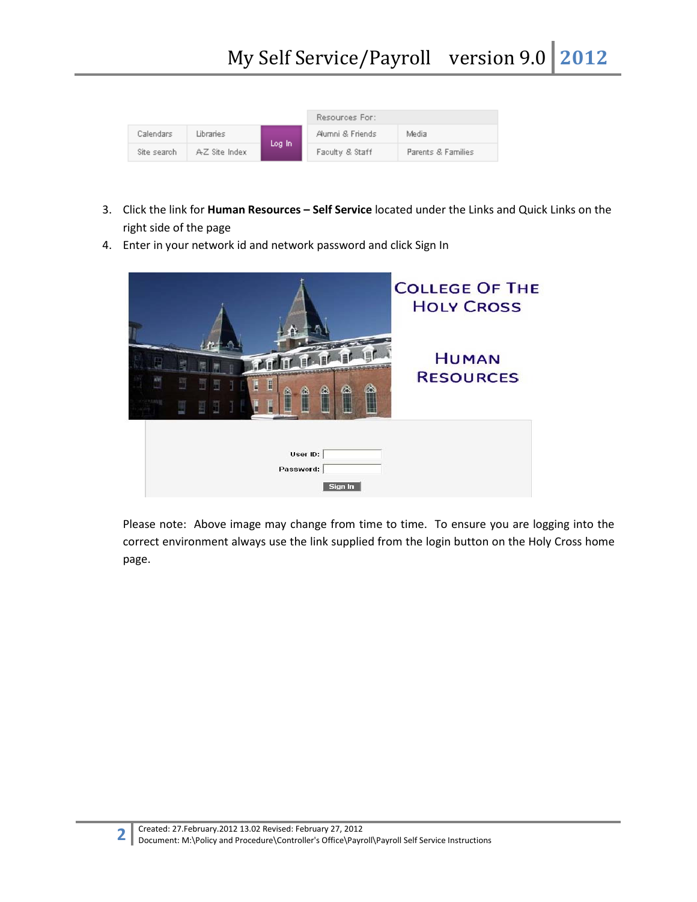|             |               |        | Resources For:   |                    |
|-------------|---------------|--------|------------------|--------------------|
| Calendars   | Libraries     |        | Alumni & Friends | Media              |
| Site search | AZ Site Index | Log In | Faculty & Staff  | Parents & Families |

- 3. Click the link for **Human Resources – Self Service** located under the Links and Quick Links on the right side of the page
- 4. Enter in your network id and network password and click Sign In



Please note: Above image may change from time to time. To ensure you are logging into the correct environment always use the link supplied from the login button on the Holy Cross home page.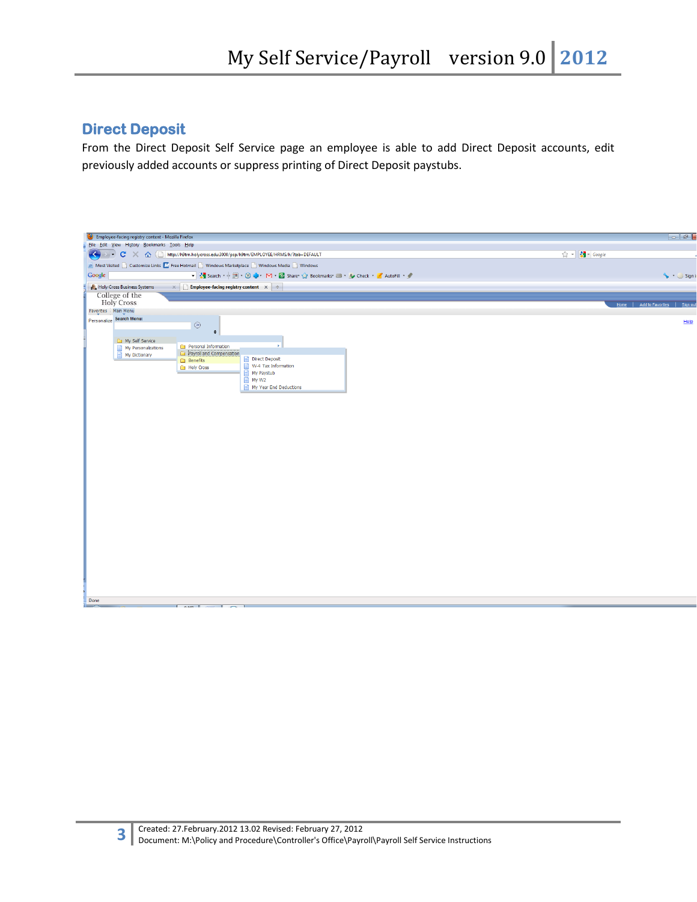## **Direct Deposit**

From the Direct Deposit Self Service page an employee is able to add Direct Deposit accounts, edit previously added accounts or suppress printing of Direct Deposit paystubs.

| Employee-facing registry content - Mozilla Firefox                                                                                                          | $-15$                              |
|-------------------------------------------------------------------------------------------------------------------------------------------------------------|------------------------------------|
| File Edit View History Bookmarks Tools Help                                                                                                                 |                                    |
| → C X < < E http://h9tm.holycross.edu:3000/psp/h9tm/EMPLOYEE/HRMS/h/?tab=DEFAULT<br>$\left(\begin{smallmatrix} \bullet \\ \bullet \end{smallmatrix}\right)$ | $\sqrt{2}$ - $\sqrt{3}$ - Google   |
| A Most Visited Customize Links M Free Hotmail C Windows Marketplace C Windows Media C Windows                                                               |                                    |
| Google<br>Search + 1 + 3 + 2 Share > Bookmarks = + A Check + 3 AutoFill + 3                                                                                 | Sign in                            |
| Holy Cross Business Systems<br>$\mathbf{x} \in \mathbb{R}$ Employee-facing registry content $\mathbf{x} \in \mathbb{R}$                                     |                                    |
| College of the                                                                                                                                              |                                    |
| <b>Holy Cross</b><br>Favorites   Main Menu                                                                                                                  | Home   Add to Favorites   Sign out |
| Personalize Search Menu:                                                                                                                                    |                                    |
| $\circledcirc$                                                                                                                                              | Hei                                |
| $\div$                                                                                                                                                      |                                    |
| My Self Service<br>Personal Information                                                                                                                     |                                    |
| My Personalizations<br>Payrol and Compensation<br>My Dictionary<br>⊟                                                                                        |                                    |
| Direct Deposit<br><b>Benefits</b>                                                                                                                           |                                    |
| $\blacksquare$ W-4 Tax Information<br>Holy Cross                                                                                                            |                                    |
| My Paystub<br>■ My W2                                                                                                                                       |                                    |
| My Year End Deductions                                                                                                                                      |                                    |
|                                                                                                                                                             |                                    |
|                                                                                                                                                             |                                    |
|                                                                                                                                                             |                                    |
|                                                                                                                                                             |                                    |
|                                                                                                                                                             |                                    |
|                                                                                                                                                             |                                    |
|                                                                                                                                                             |                                    |
|                                                                                                                                                             |                                    |
|                                                                                                                                                             |                                    |
|                                                                                                                                                             |                                    |
|                                                                                                                                                             |                                    |
|                                                                                                                                                             |                                    |
|                                                                                                                                                             |                                    |
|                                                                                                                                                             |                                    |
|                                                                                                                                                             |                                    |
|                                                                                                                                                             |                                    |
|                                                                                                                                                             |                                    |
|                                                                                                                                                             |                                    |
|                                                                                                                                                             |                                    |
|                                                                                                                                                             |                                    |
|                                                                                                                                                             |                                    |
|                                                                                                                                                             |                                    |
|                                                                                                                                                             |                                    |
|                                                                                                                                                             |                                    |
|                                                                                                                                                             |                                    |
| Done<br>الممما                                                                                                                                              |                                    |
|                                                                                                                                                             |                                    |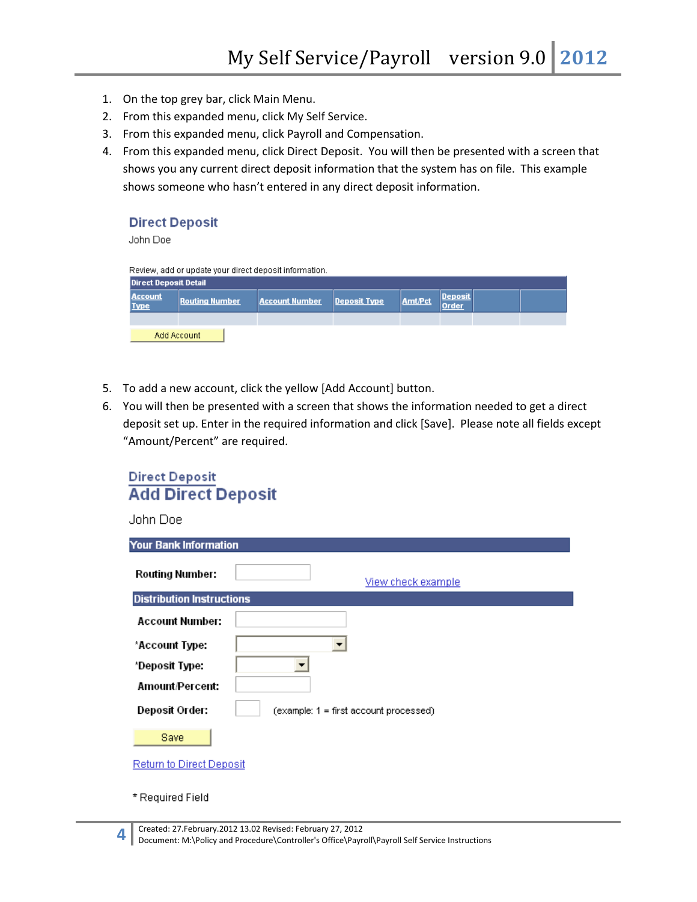- 1. On the top grey bar, click Main Menu.
- 2. From this expanded menu, click My Self Service.
- 3. From this expanded menu, click Payroll and Compensation.
- 4. From this expanded menu, click Direct Deposit. You will then be presented with a screen that shows you any current direct deposit information that the system has on file. This example shows someone who hasn't entered in any direct deposit information.

### **Direct Deposit**

John Doe

Review, add or update your direct deposit information.

| <b>Direct Deposit Detail</b>  |                       |                       |              |                |                  |  |
|-------------------------------|-----------------------|-----------------------|--------------|----------------|------------------|--|
| <b>Account</b><br><b>Type</b> | <b>Routing Number</b> | <b>Account Number</b> | Deposit Type | <b>Amt/Pct</b> | Deposit<br>Order |  |
|                               |                       |                       |              |                |                  |  |
| Add Account                   |                       |                       |              |                |                  |  |

- 5. To add a new account, click the yellow [Add Account] button.
- 6. You will then be presented with a screen that shows the information needed to get a direct deposit set up. Enter in the required information and click [Save]. Please note all fields except "Amount/Percent" are required.

| <b>Direct Deposit</b> |                           |
|-----------------------|---------------------------|
|                       | <b>Add Direct Deposit</b> |

| Your Bank Information            |                                           |
|----------------------------------|-------------------------------------------|
| <b>Routing Number:</b>           | View check example                        |
| <b>Distribution Instructions</b> |                                           |
| <b>Account Number:</b>           |                                           |
| *Account Type:                   |                                           |
| *Deposit Type:                   |                                           |
| Amount/Percent:                  |                                           |
| Deposit Order:                   | $(example: 1 = first account proceedsed)$ |
| Save                             |                                           |
| <b>Return to Direct Deposit</b>  |                                           |
|                                  |                                           |

\* Required Field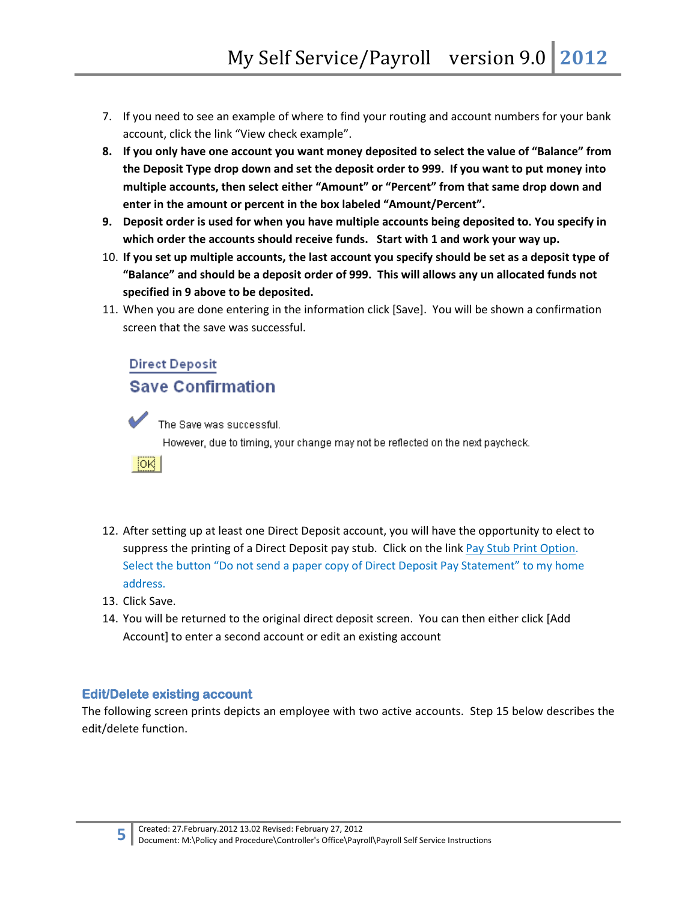- 7. If you need to see an example of where to find your routing and account numbers for your bank account, click the link "View check example".
- **8. If you only have one account you want money deposited to select the value of "Balance" from the Deposit Type drop down and set the deposit order to 999. If you want to put money into multiple accounts, then select either "Amount" or "Percent" from that same drop down and enter in the amount or percent in the box labeled "Amount/Percent".**
- **9. Deposit order is used for when you have multiple accounts being deposited to. You specify in which order the accounts should receive funds. Start with 1 and work your way up.**
- 10. **If you set up multiple accounts, the last account you specify should be set as a deposit type of "Balance" and should be a deposit order of 999. This will allows any un allocated funds not specified in 9 above to be deposited.**
- 11. When you are done entering in the information click [Save]. You will be shown a confirmation screen that the save was successful.

## **Direct Deposit Save Confirmation**



The Save was successful. However, due to timing, your change may not be reflected on the next paycheck.



- 12. After setting up at least one Direct Deposit account, you will have the opportunity to elect to suppress the printing of a Direct Deposit pay stub. Click on the link Pay Stub Print Option. Select the button "Do not send a paper copy of Direct Deposit Pay Statement" to my home address.
- 13. Click Save.
- 14. You will be returned to the original direct deposit screen. You can then either click [Add Account] to enter a second account or edit an existing account

### **Edit/Delete existing account**

The following screen prints depicts an employee with two active accounts. Step 15 below describes the edit/delete function.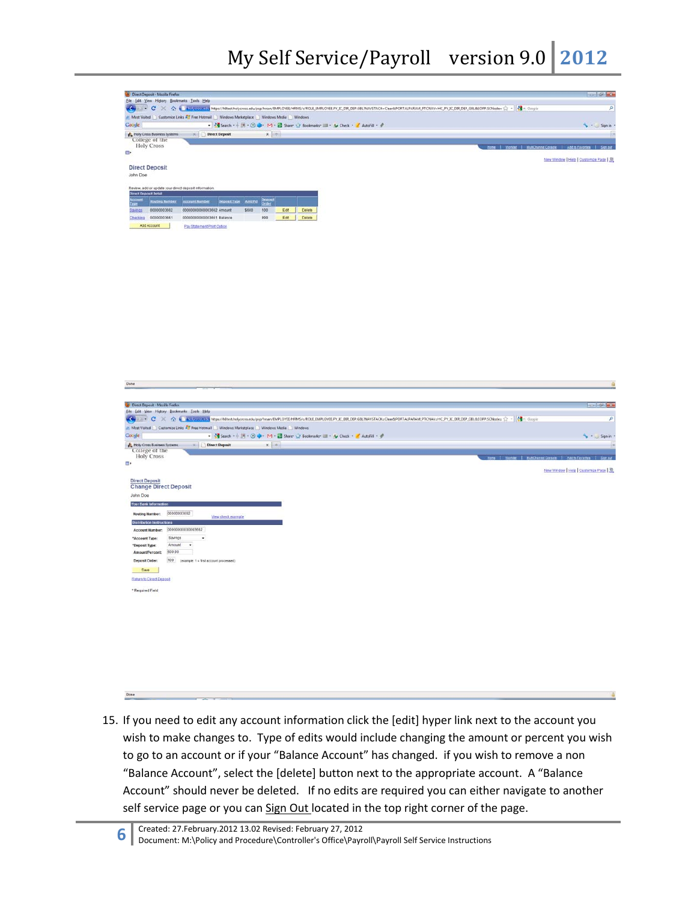| Direct Deposit - Mozilla Finefox                                                      |                                                                                         |                                                                                |                                                                                                                                                                                          |                                          |
|---------------------------------------------------------------------------------------|-----------------------------------------------------------------------------------------|--------------------------------------------------------------------------------|------------------------------------------------------------------------------------------------------------------------------------------------------------------------------------------|------------------------------------------|
| Eile Edit View Higtory Bookmarks Tools Help                                           |                                                                                         |                                                                                |                                                                                                                                                                                          |                                          |
|                                                                                       |                                                                                         |                                                                                |                                                                                                                                                                                          | P                                        |
|                                                                                       | Most Visited Customize Links AT Free Hotmail Windows Marketplace Windows Media Nindows  |                                                                                |                                                                                                                                                                                          |                                          |
| Google                                                                                |                                                                                         | • 《I Search · 十四· ① ● · M · ② Sharr ☆ Bookmarky III · Ay Check · / AutoFil · # |                                                                                                                                                                                          | Signin                                   |
| Haly Cross Business Systems<br>College of the                                         | <b>X</b> Direct Deposit                                                                 | $x +$                                                                          |                                                                                                                                                                                          | в                                        |
| <b>Holy Cross</b>                                                                     |                                                                                         |                                                                                |                                                                                                                                                                                          |                                          |
| a.                                                                                    |                                                                                         |                                                                                |                                                                                                                                                                                          |                                          |
| <b>Direct Deposit</b>                                                                 |                                                                                         |                                                                                |                                                                                                                                                                                          | New Window   Help   Customize Page   St. |
| John Doe                                                                              |                                                                                         |                                                                                |                                                                                                                                                                                          |                                          |
|                                                                                       |                                                                                         |                                                                                |                                                                                                                                                                                          |                                          |
| Review, add or update your direct deposit information<br><b>Direct Deposit Detail</b> |                                                                                         |                                                                                |                                                                                                                                                                                          |                                          |
| <b>Rosting Bumber</b>                                                                 | Account Number Deposit Type AmsPct                                                      |                                                                                |                                                                                                                                                                                          |                                          |
| 00000003662<br>Savings                                                                | 0000000000003552 Amount                                                                 | \$600<br>105<br>Edit<br>Delate                                                 |                                                                                                                                                                                          |                                          |
| Checking 00000003661                                                                  | 0000000000003651 Balance                                                                | 999<br>Edit Delete                                                             |                                                                                                                                                                                          |                                          |
| Add Account                                                                           | Pay Statement Print Option                                                              |                                                                                |                                                                                                                                                                                          |                                          |
|                                                                                       |                                                                                         |                                                                                |                                                                                                                                                                                          |                                          |
|                                                                                       |                                                                                         |                                                                                |                                                                                                                                                                                          |                                          |
|                                                                                       |                                                                                         |                                                                                |                                                                                                                                                                                          |                                          |
|                                                                                       |                                                                                         |                                                                                |                                                                                                                                                                                          |                                          |
|                                                                                       |                                                                                         |                                                                                |                                                                                                                                                                                          |                                          |
|                                                                                       |                                                                                         |                                                                                |                                                                                                                                                                                          |                                          |
|                                                                                       |                                                                                         |                                                                                |                                                                                                                                                                                          |                                          |
|                                                                                       |                                                                                         |                                                                                |                                                                                                                                                                                          |                                          |
|                                                                                       |                                                                                         |                                                                                |                                                                                                                                                                                          |                                          |
|                                                                                       |                                                                                         |                                                                                |                                                                                                                                                                                          |                                          |
|                                                                                       |                                                                                         |                                                                                |                                                                                                                                                                                          |                                          |
|                                                                                       |                                                                                         |                                                                                |                                                                                                                                                                                          |                                          |
|                                                                                       |                                                                                         |                                                                                |                                                                                                                                                                                          |                                          |
|                                                                                       |                                                                                         |                                                                                |                                                                                                                                                                                          |                                          |
|                                                                                       |                                                                                         |                                                                                |                                                                                                                                                                                          |                                          |
|                                                                                       |                                                                                         |                                                                                |                                                                                                                                                                                          |                                          |
|                                                                                       |                                                                                         |                                                                                |                                                                                                                                                                                          |                                          |
| Done                                                                                  |                                                                                         |                                                                                |                                                                                                                                                                                          |                                          |
|                                                                                       |                                                                                         |                                                                                |                                                                                                                                                                                          |                                          |
| <b>Gil</b> Direct Deposit - Mozilla Firefox                                           |                                                                                         |                                                                                |                                                                                                                                                                                          | <b>Republica Matte</b>                   |
| Eile Edit View History Bookmarks Tools Help                                           |                                                                                         |                                                                                |                                                                                                                                                                                          |                                          |
|                                                                                       |                                                                                         |                                                                                | V → C X 个 i incycomain https://h8tet.helycross.edu/psp/hrsan/EMPLOYEE/HRMS/c/ROLE_EMPLOYEEP/JC_DIR_DEP.GBL?NAVSTACK=Clear&PORTALPARAM_PTCNAV=HC_PV_JC_DIR_DEP_GBL&EOPP.SCNode= ☆ -   아 - | $\overline{\rho}$                        |
|                                                                                       | A Most Visited Customize Links A Free Hotmail Windows Marketplace Nindows Media Windows |                                                                                |                                                                                                                                                                                          |                                          |
| Google                                                                                |                                                                                         | • ※ Search · ※ 画 · ① ● · M · ② Share → Bookmarks - → Ay Check · / AutoFill · # |                                                                                                                                                                                          | $\rightarrow \bullet$ Sign in            |
| Holy Cross Business Systems<br>College of the                                         | Direct Deposit                                                                          | $x \rightarrow$                                                                |                                                                                                                                                                                          | <b>JU</b>                                |
| <b>Holy Cross</b>                                                                     |                                                                                         |                                                                                |                                                                                                                                                                                          | Add to Favortes                          |
| m.                                                                                    |                                                                                         |                                                                                |                                                                                                                                                                                          |                                          |
|                                                                                       |                                                                                         |                                                                                |                                                                                                                                                                                          | New Window Help   Customize Page         |
| <b>Direct Deposit</b>                                                                 |                                                                                         |                                                                                |                                                                                                                                                                                          |                                          |
| <b>Change Direct Deposit</b><br>John Doe                                              |                                                                                         |                                                                                |                                                                                                                                                                                          |                                          |
|                                                                                       |                                                                                         |                                                                                |                                                                                                                                                                                          |                                          |
| Your Bank Informati                                                                   |                                                                                         |                                                                                |                                                                                                                                                                                          |                                          |
| <b>Routing Number:</b>                                                                | 00000003662<br>View check example                                                       |                                                                                |                                                                                                                                                                                          |                                          |
| <b>Distribution Instructions</b>                                                      |                                                                                         |                                                                                |                                                                                                                                                                                          |                                          |
| Account Number: 00000000000003662<br>Savings<br>"Account Type:                        |                                                                                         |                                                                                |                                                                                                                                                                                          |                                          |
| Amount<br>*Deposit Type:                                                              |                                                                                         |                                                                                |                                                                                                                                                                                          |                                          |
| 600.00<br>Amount/Percent:                                                             |                                                                                         |                                                                                |                                                                                                                                                                                          |                                          |
| Deposit Order:                                                                        | 100 (example: 1 = first account processed)                                              |                                                                                |                                                                                                                                                                                          |                                          |
| Save                                                                                  |                                                                                         |                                                                                |                                                                                                                                                                                          |                                          |
| Return to Direct Deposit                                                              |                                                                                         |                                                                                |                                                                                                                                                                                          |                                          |
|                                                                                       |                                                                                         |                                                                                |                                                                                                                                                                                          |                                          |
| * Required Field                                                                      |                                                                                         |                                                                                |                                                                                                                                                                                          |                                          |
|                                                                                       |                                                                                         |                                                                                |                                                                                                                                                                                          |                                          |
|                                                                                       |                                                                                         |                                                                                |                                                                                                                                                                                          |                                          |
|                                                                                       |                                                                                         |                                                                                |                                                                                                                                                                                          |                                          |

15. If you need to edit any account information click the [edit] hyper link next to the account you wish to make changes to. Type of edits would include changing the amount or percent you wish to go to an account or if your "Balance Account" has changed. if you wish to remove a non "Balance Account", select the [delete] button next to the appropriate account. A "Balance Account" should never be deleted. If no edits are required you can either navigate to another self service page or you can Sign Out located in the top right corner of the page.

Done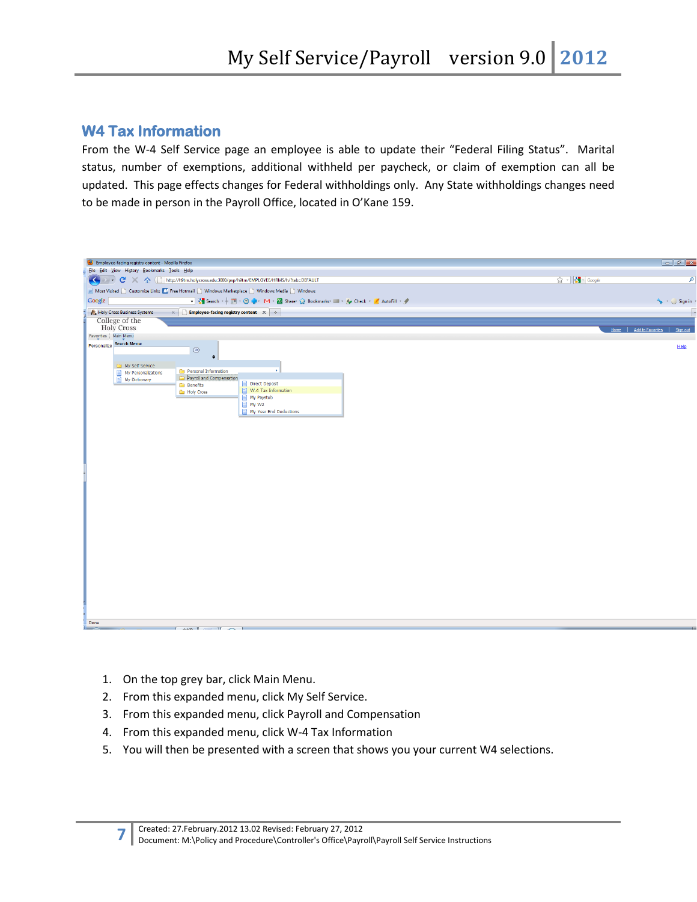### **W4 Tax Information**

From the W-4 Self Service page an employee is able to update their "Federal Filing Status". Marital status, number of exemptions, additional withheld per paycheck, or claim of exemption can all be updated. This page effects changes for Federal withholdings only. Any State withholdings changes need to be made in person in the Payroll Office, located in O'Kane 159.



- 1. On the top grey bar, click Main Menu.
- 2. From this expanded menu, click My Self Service.
- 3. From this expanded menu, click Payroll and Compensation
- 4. From this expanded menu, click W-4 Tax Information
- 5. You will then be presented with a screen that shows you your current W4 selections.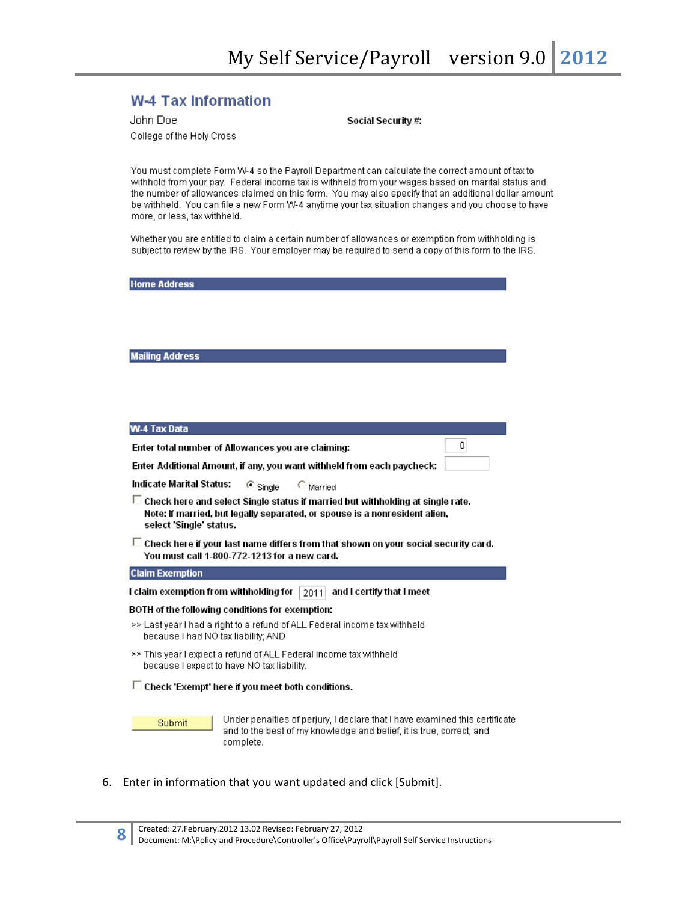$\overline{0}$ 

### **W-4 Tax Information**

| John Doel                 |
|---------------------------|
| College of the Holy Cross |

Social Security #:

You must complete Form W-4 so the Payroll Department can calculate the correct amount of tax to withhold from your pay. Federal income tax is withheld from your wages based on marital status and the number of allowances claimed on this form. You may also specify that an additional dollar amount be withheld. You can file a new Form W-4 anytime your tax situation changes and you choose to have more, or less, tax withheld.

Whether you are entitled to claim a certain number of allowances or exemption from withholding is subject to review by the IRS. Your employer may be required to send a copy of this form to the IRS.

**Home Address** 

#### **Mailing Address**

| <b>W-4 Tax Dat</b> |  |
|--------------------|--|
|                    |  |
|                    |  |

Enter total number of Allowances you are claiming:

Enter Additional Amount, if any, you want withheld from each paycheck:

**Indicate Marital Status:**  $\odot$  Single  $\bigcirc$  Married

 $\Box$  Check here and select Single status if married but withholding at single rate. Note: If married, but legally separated, or spouse is a nonresident alien, select 'Single' status.

 $\Box$  Check here if your last name differs from that shown on your social security card. You must call 1-800-772-1213 for a new card.

#### **Claim Exemption**

I claim exemption from withholding for  $\mid$  2011 and I certify that I meet

#### BOTH of the following conditions for exemption:

- >> Last year I had a right to a refund of ALL Federal income tax withheld because I had NO tax liability; AND
- >> This year I expect a refund of ALL Federal income tax withheld because I expect to have NO tax liability.

#### $\Box$  Check 'Exempt' here if you meet both conditions.

Submit

Under penalties of perjury, I declare that I have examined this certificate and to the best of my knowledge and belief, it is true, correct, and complete.

6. Enter in information that you want updated and click [Submit].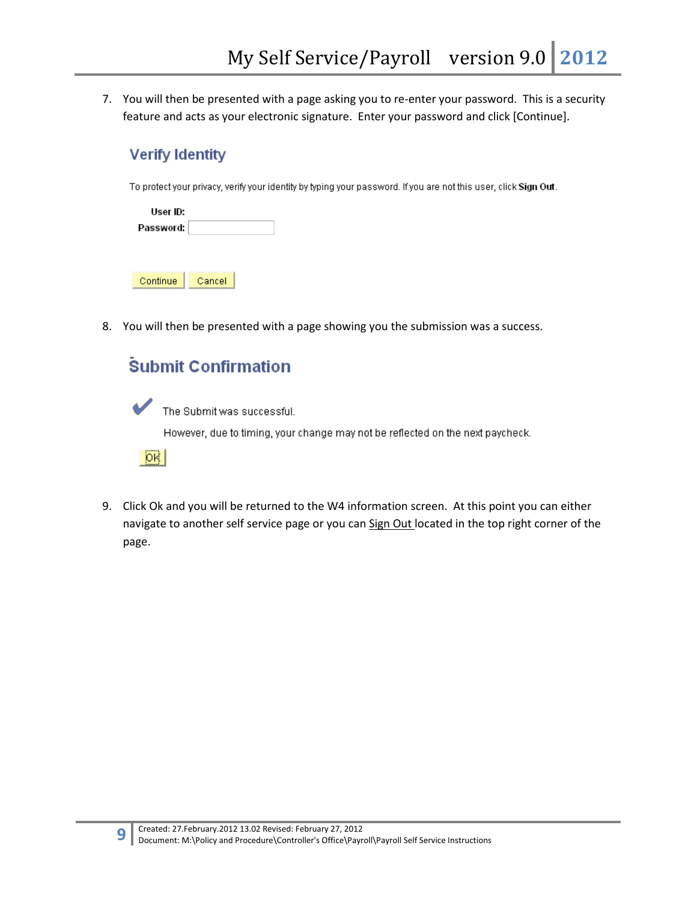7. You will then be presented with a page asking you to re-enter your password. This is a security feature and acts as your electronic signature. Enter your password and click [Continue].

## **Verify Identity**

To protect your privacy, verify your identity by typing your password. If you are not this user, click Sign Out.

| User ID:  |        |  |
|-----------|--------|--|
| Password: |        |  |
|           |        |  |
|           |        |  |
| Continue  | Cancel |  |

8. You will then be presented with a page showing you the submission was a success.

## **Submit Confirmation**

The Submit was successful. However, due to timing, your change may not be reflected on the next paycheck.  $|OK$ 

9. Click Ok and you will be returned to the W4 information screen. At this point you can either navigate to another self service page or you can Sign Out located in the top right corner of the page.

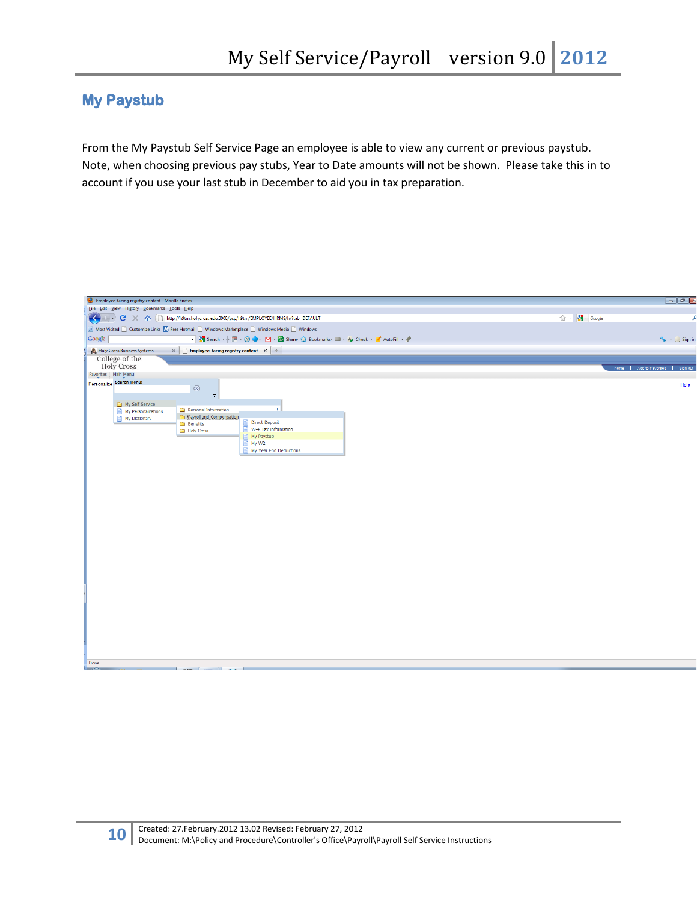## **My Paystub**

From the My Paystub Self Service Page an employee is able to view any current or previous paystub. Note, when choosing previous pay stubs, Year to Date amounts will not be shown. Please take this in to account if you use your last stub in December to aid you in tax preparation.

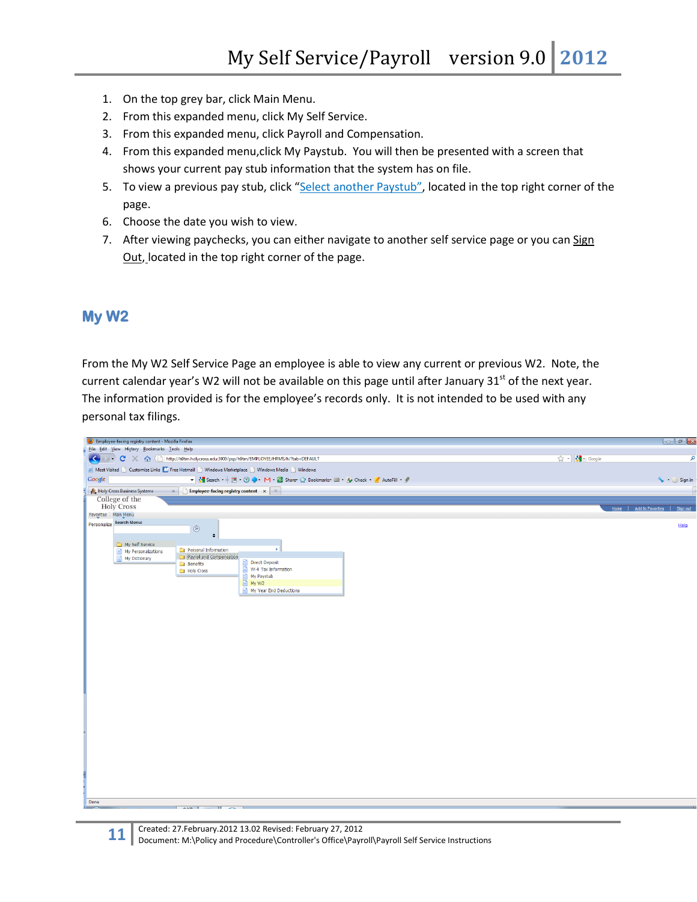- 1. On the top grey bar, click Main Menu.
- 2. From this expanded menu, click My Self Service.
- 3. From this expanded menu, click Payroll and Compensation.
- 4. From this expanded menu,click My Paystub. You will then be presented with a screen that shows your current pay stub information that the system has on file.
- 5. To view a previous pay stub, click "Select another Paystub", located in the top right corner of the page.
- 6. Choose the date you wish to view.
- 7. After viewing paychecks, you can either navigate to another self service page or you can Sign Out, located in the top right corner of the page.

### **My W2**

From the My W2 Self Service Page an employee is able to view any current or previous W2. Note, the current calendar year's W2 will not be available on this page until after January  $31<sup>st</sup>$  of the next year. The information provided is for the employee's records only. It is not intended to be used with any personal tax filings.

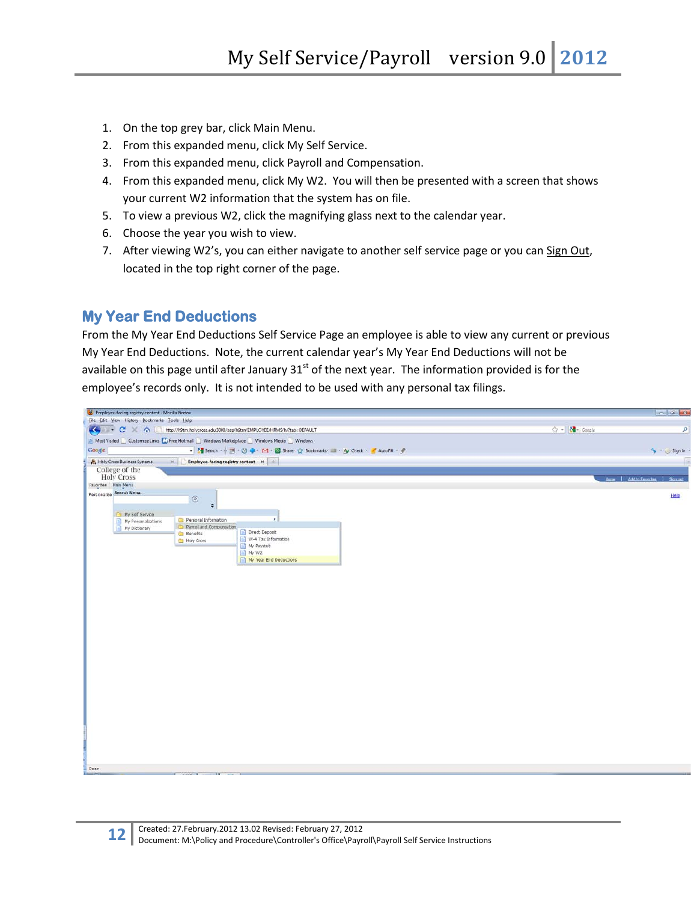- 1. On the top grey bar, click Main Menu.
- 2. From this expanded menu, click My Self Service.
- 3. From this expanded menu, click Payroll and Compensation.
- 4. From this expanded menu, click My W2. You will then be presented with a screen that shows your current W2 information that the system has on file.
- 5. To view a previous W2, click the magnifying glass next to the calendar year.
- 6. Choose the year you wish to view.
- 7. After viewing W2's, you can either navigate to another self service page or you can Sign Out, located in the top right corner of the page.

### **My Year End Deductions**

From the My Year End Deductions Self Service Page an employee is able to view any current or previous My Year End Deductions. Note, the current calendar year's My Year End Deductions will not be available on this page until after January  $31<sup>st</sup>$  of the next year. The information provided is for the employee's records only. It is not intended to be used with any personal tax filings.

| Employee facing registry content - Mozilla Firefox                                            | $-10^{11} - 3$                              |
|-----------------------------------------------------------------------------------------------|---------------------------------------------|
| File Edit View History Bookmarks Tools Help                                                   |                                             |
| C X C http://h9tm.holycross.edu:3000/psp/h9tm/EMPLOYEE/HRMS/h/?tab-DEFAULT                    | ☆ - <mark>*</mark> - Google<br>$\mathsf{R}$ |
| Most Visited   Customize Links   Free Hotmail   Windows Marketplace   Windows Media   Windows |                                             |
| Google                                                                                        | Sign in +                                   |
| Holy Cross Business Systems<br>$\times$ The Employee-facing registry content $\times$         |                                             |
| College of the                                                                                |                                             |
| <b>Holy Cross</b>                                                                             | Hume   Add to Favorites<br>Signaud          |
| Favorites Main Menu                                                                           |                                             |
| Personalize Search Menu:<br>$^\circledR$<br>$\bullet$                                         | Help                                        |
| My Self Service                                                                               |                                             |
| Personal Information<br>×<br>My Personalizations                                              |                                             |
| Payrol and Compensation<br>My Dictionary<br>Direct Deposit<br><b>Benefits</b>                 |                                             |
| W-4 Tax Information<br><b>Ca</b> Holy Cross                                                   |                                             |
| My Paystub                                                                                    |                                             |
| My W2<br>My Year End Deductions                                                               |                                             |
|                                                                                               |                                             |
|                                                                                               |                                             |
|                                                                                               |                                             |
|                                                                                               |                                             |
|                                                                                               |                                             |
|                                                                                               |                                             |
|                                                                                               |                                             |
|                                                                                               |                                             |
|                                                                                               |                                             |
|                                                                                               |                                             |
|                                                                                               |                                             |
|                                                                                               |                                             |
|                                                                                               |                                             |
|                                                                                               |                                             |
|                                                                                               |                                             |
|                                                                                               |                                             |
|                                                                                               |                                             |
|                                                                                               |                                             |
|                                                                                               |                                             |
|                                                                                               |                                             |
|                                                                                               |                                             |
|                                                                                               |                                             |
| <b>Done</b>                                                                                   |                                             |
|                                                                                               |                                             |